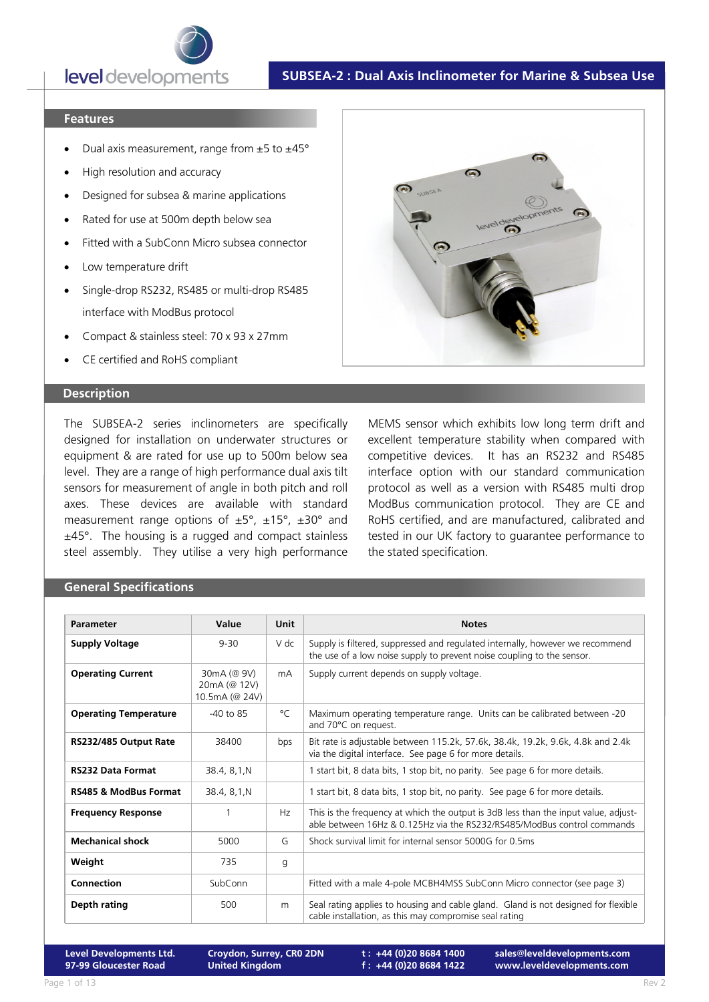

# **SUBSEA-2 : Dual Axis Inclinometer for Marine & Subsea Use**

 $\mathbf{\Omega}$ 

evel deve

#### **Features**

- Dual axis measurement, range from  $±5$  to  $±45^{\circ}$
- High resolution and accuracy
- Designed for subsea & marine applications
- Rated for use at 500m depth below sea
- Fitted with a SubConn Micro subsea connector
- Low temperature drift
- Single-drop RS232, RS485 or multi-drop RS485 interface with ModBus protocol
- · Compact & stainless steel: 70 x 93 x 27mm
- CE certified and RoHS compliant

#### **Description**

The SUBSEA-2 series inclinometers are specifically designed for installation on underwater structures or equipment & are rated for use up to 500m below sea level. They are a range of high performance dual axis tilt sensors for measurement of angle in both pitch and roll axes. These devices are available with standard measurement range options of  $\pm 5^{\circ}$ ,  $\pm 15^{\circ}$ ,  $\pm 30^{\circ}$  and ±45°. The housing is a rugged and compact stainless steel assembly. They utilise a very high performance

MEMS sensor which exhibits low long term drift and excellent temperature stability when compared with competitive devices. It has an RS232 and RS485 interface option with our standard communication protocol as well as a version with RS485 multi drop ModBus communication protocol. They are CE and RoHS certified, and are manufactured, calibrated and tested in our UK factory to guarantee performance to the stated specification.

## **General Specifications**

| Parameter                        | Value                                         | Unit | <b>Notes</b>                                                                                                                                                   |
|----------------------------------|-----------------------------------------------|------|----------------------------------------------------------------------------------------------------------------------------------------------------------------|
| <b>Supply Voltage</b>            | $9 - 30$                                      | V dc | Supply is filtered, suppressed and regulated internally, however we recommend<br>the use of a low noise supply to prevent noise coupling to the sensor.        |
| <b>Operating Current</b>         | 30mA (@ 9V)<br>20mA (@ 12V)<br>10.5mA (@ 24V) | mA   | Supply current depends on supply voltage.                                                                                                                      |
| <b>Operating Temperature</b>     | $-40$ to 85                                   | °C   | Maximum operating temperature range. Units can be calibrated between -20<br>and 70°C on request.                                                               |
| RS232/485 Output Rate            | 38400                                         | bps  | Bit rate is adjustable between 115.2k, 57.6k, 38.4k, 19.2k, 9.6k, 4.8k and 2.4k<br>via the digital interface. See page 6 for more details.                     |
| <b>RS232 Data Format</b>         | 38.4, 8,1, N                                  |      | 1 start bit, 8 data bits, 1 stop bit, no parity. See page 6 for more details.                                                                                  |
| <b>RS485 &amp; ModBus Format</b> | 38.4, 8,1, N                                  |      | 1 start bit, 8 data bits, 1 stop bit, no parity. See page 6 for more details.                                                                                  |
| <b>Frequency Response</b>        |                                               | Hz   | This is the frequency at which the output is 3dB less than the input value, adjust-<br>able between 16Hz & 0.125Hz via the RS232/RS485/ModBus control commands |
| <b>Mechanical shock</b>          | 5000                                          | G    | Shock survival limit for internal sensor 5000G for 0.5ms                                                                                                       |
| Weight                           | 735                                           | g    |                                                                                                                                                                |
| Connection                       | SubConn                                       |      | Fitted with a male 4-pole MCBH4MSS SubConn Micro connector (see page 3)                                                                                        |
| Depth rating                     | 500                                           | m    | Seal rating applies to housing and cable gland. Gland is not designed for flexible<br>cable installation, as this may compromise seal rating                   |

**Level Developments Ltd. 97-99 Gloucester Road**

**Croydon, Surrey, CR0 2DN United Kingdom**

**t : +44 (0)20 8684 1400 f : +44 (0)20 8684 1422**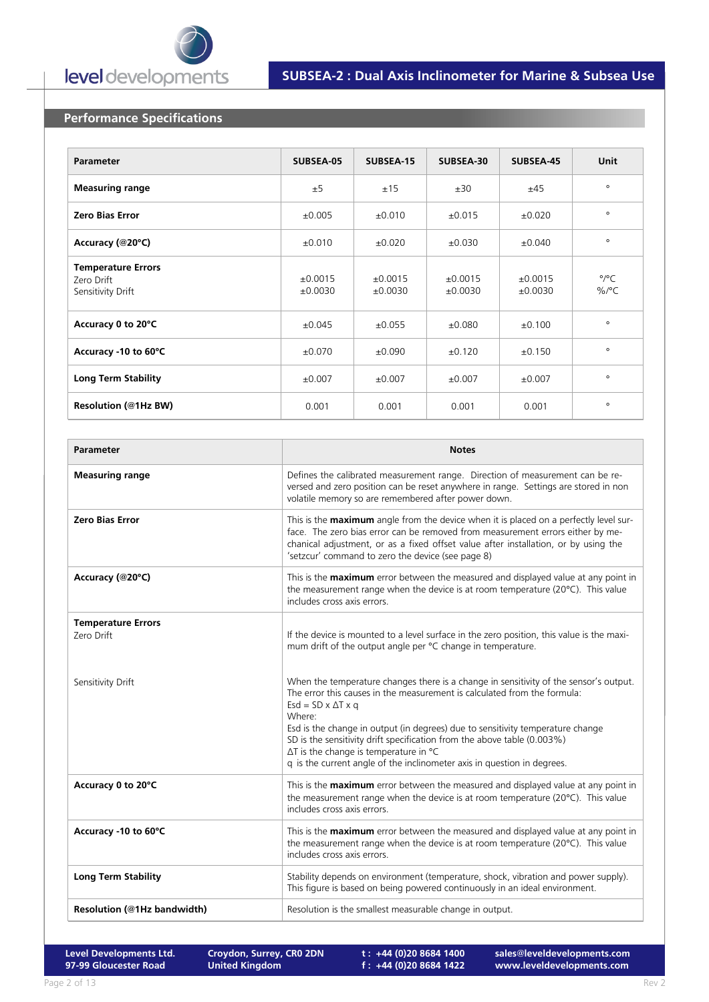

# **Performance Specifications**

| Parameter                                                    | SUBSEA-05          | <b>SUBSEA-15</b>   | SUBSEA-30          | SUBSEA-45          | Unit                                  |
|--------------------------------------------------------------|--------------------|--------------------|--------------------|--------------------|---------------------------------------|
| <b>Measuring range</b>                                       | ±5                 | ±15                | ±30                | ±45                | $\circ$                               |
| <b>Zero Bias Error</b>                                       | ±0.005             | ±0.010             | ±0.015             | ±0.020             | $\circ$                               |
| Accuracy (@20°C)                                             | ±0.010             | ±0.020             | ±0.030             | $\pm 0.040$        | $\circ$                               |
| <b>Temperature Errors</b><br>Zero Drift<br>Sensitivity Drift | ±0.0015<br>±0.0030 | ±0.0015<br>±0.0030 | ±0.0015<br>±0.0030 | ±0.0015<br>±0.0030 | $^{\circ}$ / $^{\circ}$ C<br>$\%$ /°C |
| Accuracy 0 to 20°C                                           | ±0.045             | ±0.055             | ±0.080             | ±0.100             | $\circ$                               |
| Accuracy -10 to 60°C                                         | ±0.070             | $\pm 0.090$        | ±0.120             | ±0.150             | $\circ$                               |
| <b>Long Term Stability</b>                                   | ±0.007             | ±0.007             | ±0.007             | ±0.007             | $\circ$                               |
| <b>Resolution (@1Hz BW)</b>                                  | 0.001              | 0.001              | 0.001              | 0.001              | $\circ$                               |

| <b>Parameter</b>                        | <b>Notes</b>                                                                                                                                                                                                                                                                                                                                                                                                                                                                                                                            |
|-----------------------------------------|-----------------------------------------------------------------------------------------------------------------------------------------------------------------------------------------------------------------------------------------------------------------------------------------------------------------------------------------------------------------------------------------------------------------------------------------------------------------------------------------------------------------------------------------|
| <b>Measuring range</b>                  | Defines the calibrated measurement range. Direction of measurement can be re-<br>versed and zero position can be reset anywhere in range. Settings are stored in non<br>volatile memory so are remembered after power down.                                                                                                                                                                                                                                                                                                             |
| <b>Zero Bias Error</b>                  | This is the maximum angle from the device when it is placed on a perfectly level sur-<br>face. The zero bias error can be removed from measurement errors either by me-<br>chanical adjustment, or as a fixed offset value after installation, or by using the<br>'setzcur' command to zero the device (see page 8)                                                                                                                                                                                                                     |
| Accuracy (@20°C)                        | This is the <b>maximum</b> error between the measured and displayed value at any point in<br>the measurement range when the device is at room temperature (20°C). This value<br>includes cross axis errors.                                                                                                                                                                                                                                                                                                                             |
| <b>Temperature Errors</b><br>Zero Drift | If the device is mounted to a level surface in the zero position, this value is the maxi-<br>mum drift of the output angle per °C change in temperature.                                                                                                                                                                                                                                                                                                                                                                                |
| Sensitivity Drift                       | When the temperature changes there is a change in sensitivity of the sensor's output.<br>The error this causes in the measurement is calculated from the formula:<br>$\text{Esd} = \text{SD} \times \Delta T \times \alpha$<br>Where:<br>Esd is the change in output (in degrees) due to sensitivity temperature change<br>SD is the sensitivity drift specification from the above table (0.003%)<br>$\Delta T$ is the change is temperature in $\degree C$<br>q is the current angle of the inclinometer axis in question in degrees. |
| Accuracy 0 to 20°C                      | This is the <b>maximum</b> error between the measured and displayed value at any point in<br>the measurement range when the device is at room temperature (20°C). This value<br>includes cross axis errors.                                                                                                                                                                                                                                                                                                                             |
| Accuracy -10 to 60°C                    | This is the <b>maximum</b> error between the measured and displayed value at any point in<br>the measurement range when the device is at room temperature (20°C). This value<br>includes cross axis errors.                                                                                                                                                                                                                                                                                                                             |
| <b>Long Term Stability</b>              | Stability depends on environment (temperature, shock, vibration and power supply).<br>This figure is based on being powered continuously in an ideal environment.                                                                                                                                                                                                                                                                                                                                                                       |
| Resolution (@1Hz bandwidth)             | Resolution is the smallest measurable change in output.                                                                                                                                                                                                                                                                                                                                                                                                                                                                                 |

**Level Developments Ltd. 97-99 Gloucester Road**

**t : +44 (0)20 8684 1400 f : +44 (0)20 8684 1422**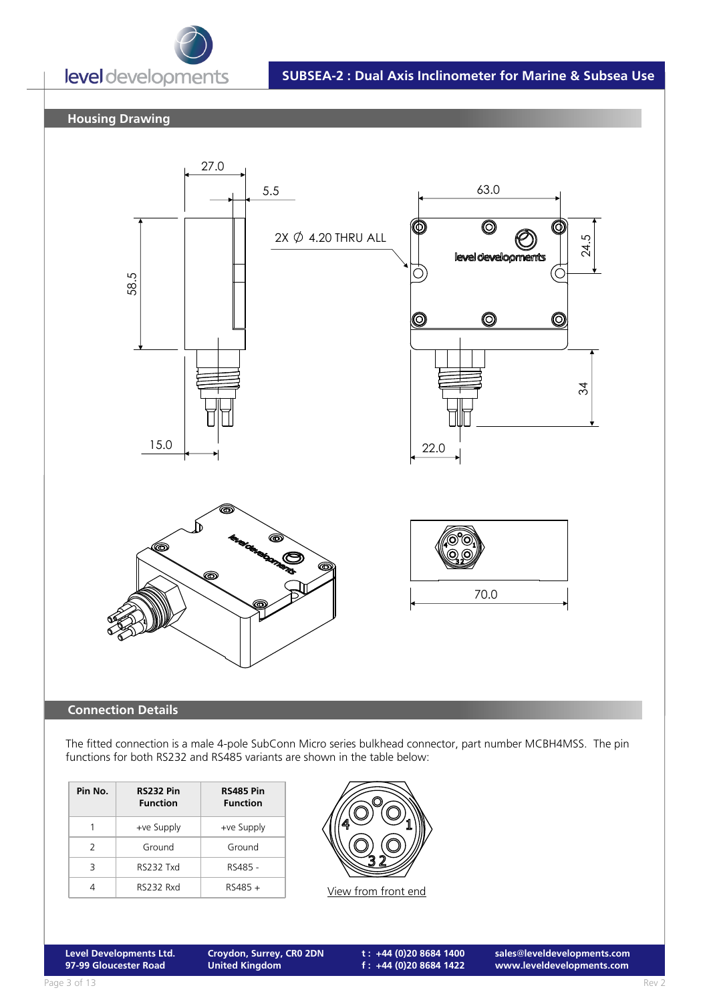

**SUBSEA-2 : Dual Axis Inclinometer for Marine & Subsea Use**

# **Housing Drawing**



### **Connection Details**

The fitted connection is a male 4-pole SubConn Micro series bulkhead connector, part number MCBH4MSS. The pin functions for both RS232 and RS485 variants are shown in the table below:

| Pin No. | <b>RS232 Pin</b><br><b>Function</b> | <b>RS485 Pin</b><br><b>Function</b> |
|---------|-------------------------------------|-------------------------------------|
|         | +ve Supply                          | +ve Supply                          |
| 2       | Ground                              | Ground                              |
| ₹       | RS232 Txd                           | RS485 -                             |
|         | <b>RS232 Rxd</b>                    | $RS485 +$                           |



View from front end

**Level Developments Ltd. 97-99 Gloucester Road**

**Croydon, Surrey, CR0 2DN United Kingdom**

**t : +44 (0)20 8684 1400 f : +44 (0)20 8684 1422**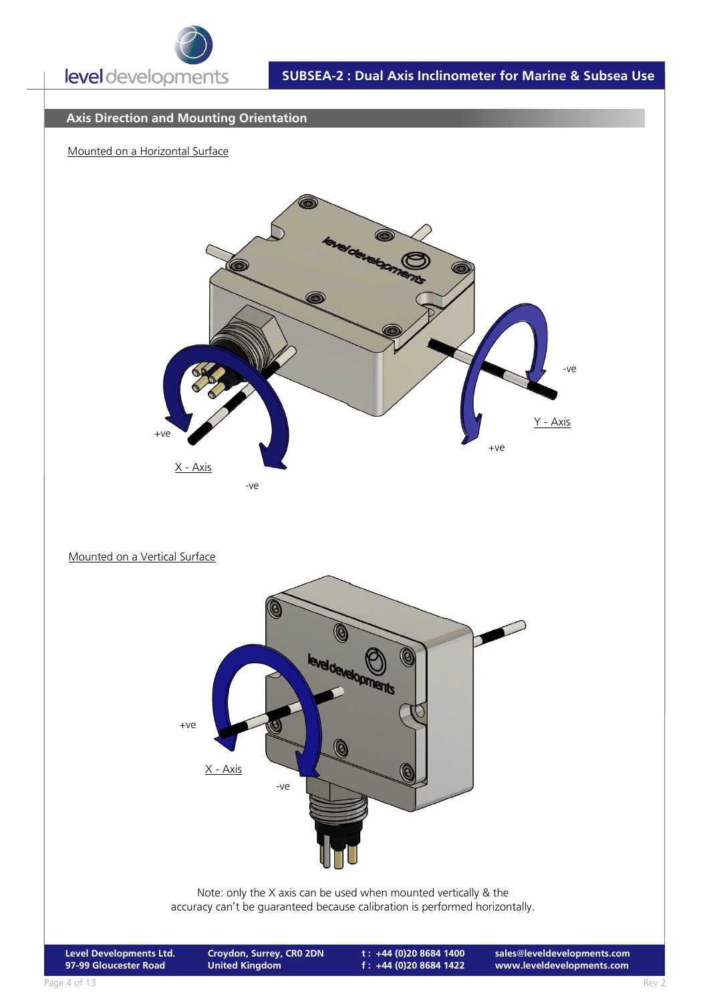

# **Axis Direction and Mounting Orientation**

## Mounted on a Horizontal Surface



Mounted on a Vertical Surface



accuracy can't be guaranteed because calibration is performed horizontally.

**Level Developments Ltd. 97-99 Gloucester Road**

**Croydon, Surrey, CR0 2DN United Kingdom**

**t : +44 (0)20 8684 1400 f : +44 (0)20 8684 1422**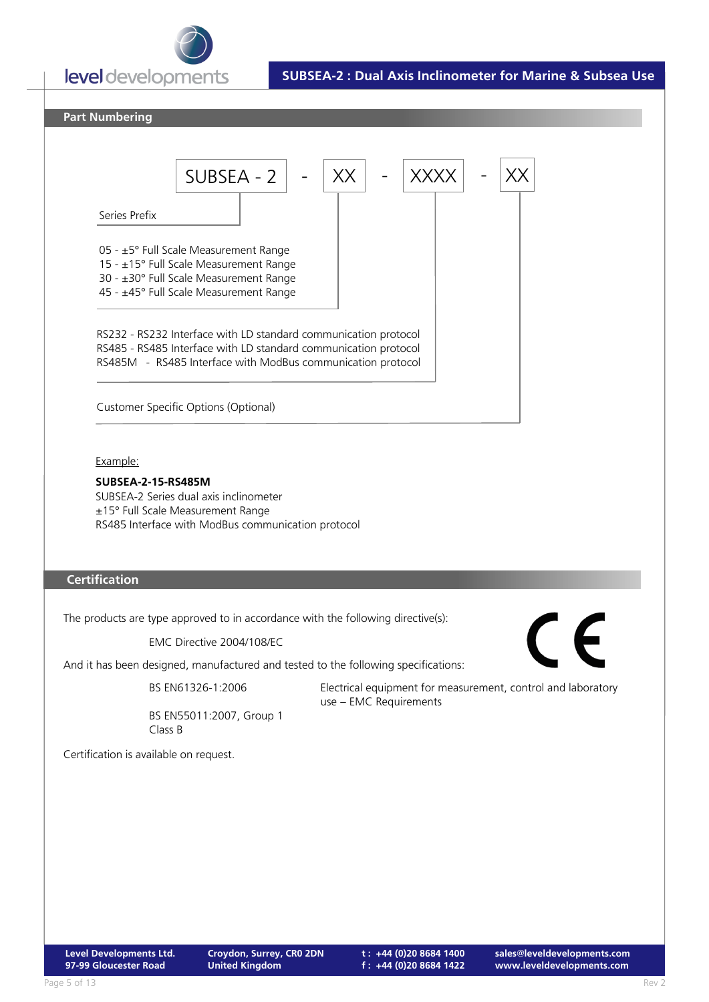



**t : +44 (0)20 8684 1400 f : +44 (0)20 8684 1422**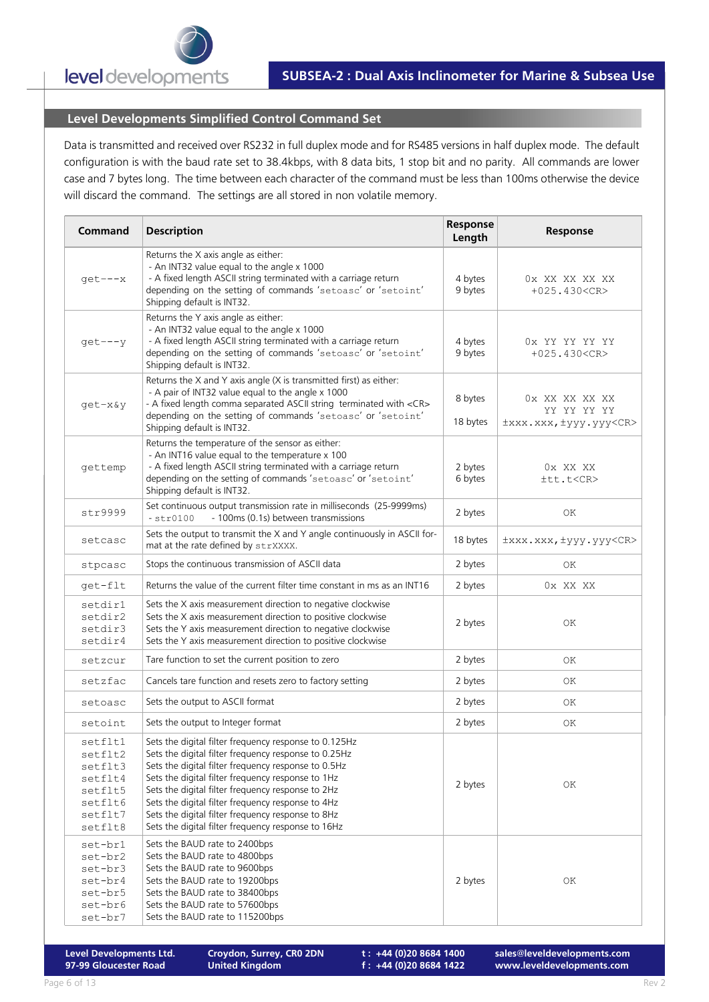

# **Level Developments Simplified Control Command Set**

Data is transmitted and received over RS232 in full duplex mode and for RS485 versions in half duplex mode. The default configuration is with the baud rate set to 38.4kbps, with 8 data bits, 1 stop bit and no parity. All commands are lower case and 7 bytes long. The time between each character of the command must be less than 100ms otherwise the device will discard the command. The settings are all stored in non volatile memory.

| <b>Command</b>                                                                       | <b>Description</b>                                                                                                                                                                                                                                                                                                                                                                                                                             | Response<br>Length  | <b>Response</b>                                               |
|--------------------------------------------------------------------------------------|------------------------------------------------------------------------------------------------------------------------------------------------------------------------------------------------------------------------------------------------------------------------------------------------------------------------------------------------------------------------------------------------------------------------------------------------|---------------------|---------------------------------------------------------------|
| $qet--x$                                                                             | Returns the X axis angle as either:<br>- An INT32 value equal to the angle x 1000<br>- A fixed length ASCII string terminated with a carriage return<br>depending on the setting of commands 'setoasc' or 'setoint'<br>Shipping default is INT32.                                                                                                                                                                                              | 4 bytes<br>9 bytes  | 0x XX XX XX XX<br>+025.430 <cr></cr>                          |
| $qet--y$                                                                             | Returns the Y axis angle as either:<br>- An INT32 value equal to the angle x 1000<br>- A fixed length ASCII string terminated with a carriage return<br>depending on the setting of commands 'setoasc' or 'setoint'<br>Shipping default is INT32.                                                                                                                                                                                              | 4 bytes<br>9 bytes  | 0x YY YY YY YY<br>+025.430 <cr></cr>                          |
| get-x&y                                                                              | Returns the X and Y axis angle (X is transmitted first) as either:<br>- A pair of INT32 value equal to the angle x 1000<br>- A fixed length comma separated ASCII string terminated with <cr><br/>depending on the setting of commands 'setoasc' or 'setoint'<br/>Shipping default is INT32.</cr>                                                                                                                                              | 8 bytes<br>18 bytes | 0x XX XX XX XX<br>YY YY YY YY<br>±xxx.xxx, ±yyy.yyy <cr></cr> |
| gettemp                                                                              | Returns the temperature of the sensor as either:<br>- An INT16 value equal to the temperature x 100<br>- A fixed length ASCII string terminated with a carriage return<br>depending on the setting of commands 'setoasc' or 'setoint'<br>Shipping default is INT32.                                                                                                                                                                            | 2 bytes<br>6 bytes  | 0x XX XX<br>±tt.t <cr></cr>                                   |
| str9999                                                                              | Set continuous output transmission rate in milliseconds (25-9999ms)<br>- 100ms (0.1s) between transmissions<br>$-str0100$                                                                                                                                                                                                                                                                                                                      | 2 bytes             | ΟК                                                            |
| setcasc                                                                              | Sets the output to transmit the X and Y angle continuously in ASCII for-<br>mat at the rate defined by strXXXX.                                                                                                                                                                                                                                                                                                                                | 18 bytes            | ±xxx.xxx, ±yyy.yyy <cr></cr>                                  |
| stpcasc                                                                              | Stops the continuous transmission of ASCII data                                                                                                                                                                                                                                                                                                                                                                                                | 2 bytes             | ΟK                                                            |
| get-flt                                                                              | Returns the value of the current filter time constant in ms as an INT16                                                                                                                                                                                                                                                                                                                                                                        | 2 bytes             | 0x XX XX                                                      |
| setdirl<br>setdir2<br>setdir3<br>setdir4                                             | Sets the X axis measurement direction to negative clockwise<br>Sets the X axis measurement direction to positive clockwise<br>Sets the Y axis measurement direction to negative clockwise<br>Sets the Y axis measurement direction to positive clockwise                                                                                                                                                                                       | 2 bytes             | ΟK                                                            |
| setzcur                                                                              | Tare function to set the current position to zero                                                                                                                                                                                                                                                                                                                                                                                              | 2 bytes             | ΟК                                                            |
| setzfac                                                                              | Cancels tare function and resets zero to factory setting                                                                                                                                                                                                                                                                                                                                                                                       | 2 bytes             | ΟK                                                            |
| setoasc                                                                              | Sets the output to ASCII format                                                                                                                                                                                                                                                                                                                                                                                                                | 2 bytes             | ΟК                                                            |
| setoint                                                                              | Sets the output to Integer format                                                                                                                                                                                                                                                                                                                                                                                                              | 2 bytes             | ΟK                                                            |
| setfltl<br>setflt2<br>setflt3<br>setflt4<br>setflt5<br>setflt6<br>setflt7<br>setflt8 | Sets the digital filter frequency response to 0.125Hz<br>Sets the digital filter frequency response to 0.25Hz<br>Sets the digital filter frequency response to 0.5Hz<br>Sets the digital filter frequency response to 1Hz<br>Sets the digital filter frequency response to 2Hz<br>Sets the digital filter frequency response to 4Hz<br>Sets the digital filter frequency response to 8Hz<br>Sets the digital filter frequency response to 16Hz | 2 bytes             | ΟK                                                            |
| set-br1<br>set-br2<br>set-br3<br>set-br4<br>set-br5<br>set-br6<br>set-br7            | Sets the BAUD rate to 2400bps<br>Sets the BAUD rate to 4800bps<br>Sets the BAUD rate to 9600bps<br>Sets the BAUD rate to 19200bps<br>Sets the BAUD rate to 38400bps<br>Sets the BAUD rate to 57600bps<br>Sets the BAUD rate to 115200bps                                                                                                                                                                                                       | 2 bytes             | ΟК                                                            |

**Croydon, Surrey, CR0 2DN United Kingdom**

**t : +44 (0)20 8684 1400 f : +44 (0)20 8684 1422**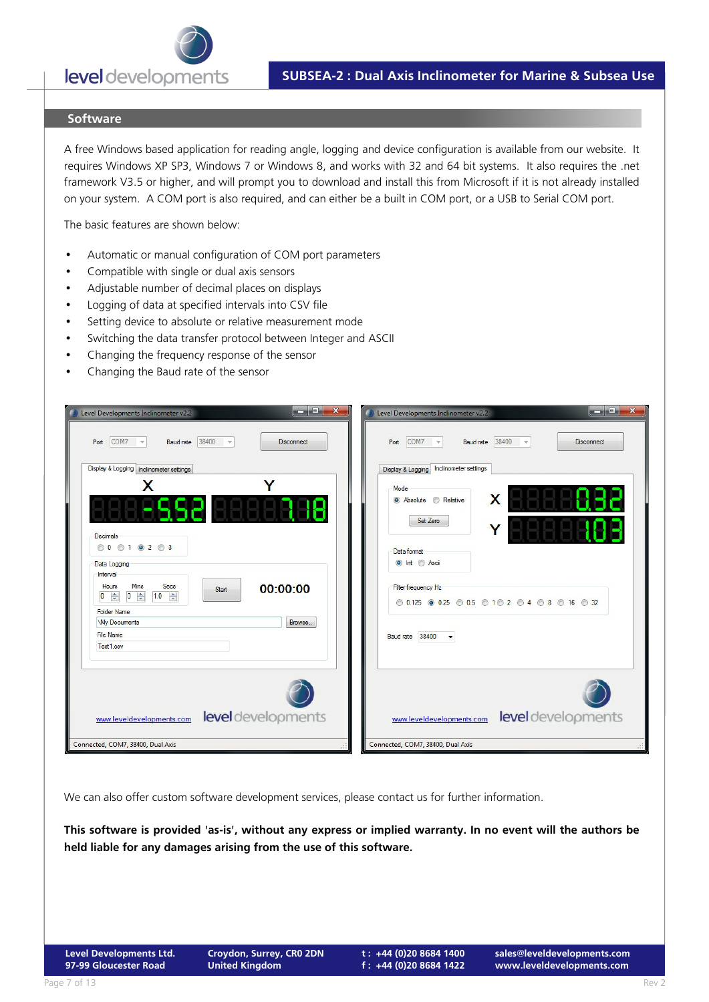

### **Software**

A free Windows based application for reading angle, logging and device configuration is available from our website. It requires Windows XP SP3, Windows 7 or Windows 8, and works with 32 and 64 bit systems. It also requires the .net framework V3.5 or higher, and will prompt you to download and install this from Microsoft if it is not already installed on your system. A COM port is also required, and can either be a built in COM port, or a USB to Serial COM port.

The basic features are shown below:

- Automatic or manual configuration of COM port parameters
- ü Compatible with single or dual axis sensors
- Adjustable number of decimal places on displays
- Logging of data at specified intervals into CSV file
- Setting device to absolute or relative measurement mode
- **•** Switching the data transfer protocol between Integer and ASCII
- Changing the frequency response of the sensor
- ü Changing the Baud rate of the sensor

| $\begin{array}{c c c c c} \hline \multicolumn{1}{c }{\textbf{1}} & \multicolumn{1}{c }{\textbf{2}} & \multicolumn{1}{c }{\textbf{3}} & \multicolumn{1}{c }{\textbf{4}} & \multicolumn{1}{c }{\textbf{5}} & \multicolumn{1}{c }{\textbf{6}} & \multicolumn{1}{c }{\textbf{7}} & \multicolumn{1}{c }{\textbf{8}} & \multicolumn{1}{c }{\textbf{9}} & \multicolumn{1}{c }{\textbf{1}} & \multicolumn{1}{c }{\textbf{1}} & \multicolumn{1}{c }{\textbf{1$<br>Level Developments Inclinometer v2.2 | $\begin{array}{ c c c c c }\hline \multicolumn{1}{ c }{\mathbf{1}} & \multicolumn{1}{ c }{\mathbf{2}} & \multicolumn{1}{ c }{\mathbf{3}}\hline \multicolumn{1}{ c }{\mathbf{4}} & \multicolumn{1}{ c }{\mathbf{5}} & \multicolumn{1}{ c }{\mathbf{6}} & \multicolumn{1}{ c }{\mathbf{7}} & \multicolumn{1}{ c }{\mathbf{8}} & \multicolumn{1}{ c }{\mathbf{9}} & \multicolumn{1}{ c }{\mathbf{1}} & \multicolumn{1}{ c }{\mathbf{1}} & \$<br>Level Developments Inclinometer v2.2 |
|-----------------------------------------------------------------------------------------------------------------------------------------------------------------------------------------------------------------------------------------------------------------------------------------------------------------------------------------------------------------------------------------------------------------------------------------------------------------------------------------------|-----------------------------------------------------------------------------------------------------------------------------------------------------------------------------------------------------------------------------------------------------------------------------------------------------------------------------------------------------------------------------------------------------------------------------------------------------------------------------------|
| COM7<br>Baud rate 38400<br><b>Disconnect</b><br>Port<br>$\psi$<br>$\rightarrow$                                                                                                                                                                                                                                                                                                                                                                                                               | $COM7 +$<br>Baud rate 38400 -<br>Disconnect<br>Port                                                                                                                                                                                                                                                                                                                                                                                                                               |
| Display & Logging   Inclinometer settings                                                                                                                                                                                                                                                                                                                                                                                                                                                     | Inclinometer settings<br>Display & Logging                                                                                                                                                                                                                                                                                                                                                                                                                                        |
| X.<br><b>Decimals</b><br>00010203                                                                                                                                                                                                                                                                                                                                                                                                                                                             | Mode<br>X<br>Absolute Relative<br>Set Zero                                                                                                                                                                                                                                                                                                                                                                                                                                        |
| Data Logging<br>Interval<br>Mins<br><b>Secs</b><br>Hours<br>00:00:00<br>Start<br>수<br>$\overline{0}$<br>$\Rightarrow$<br>1.0<br>$\Rightarrow$<br>$\overline{0}$                                                                                                                                                                                                                                                                                                                               | Data format<br>O Int @ Ascii<br>Filter frequency Hz                                                                                                                                                                                                                                                                                                                                                                                                                               |
| <b>Folder Name</b>                                                                                                                                                                                                                                                                                                                                                                                                                                                                            | $0.125$ 0 0.25 0 0.5 0 1 0 2 0 4 0 8 0 16 0 32                                                                                                                                                                                                                                                                                                                                                                                                                                    |
| Browse<br><b>My Documents</b><br><b>File Name</b><br>Test1.csv                                                                                                                                                                                                                                                                                                                                                                                                                                | Baud rate 38400<br>$\blacktriangledown$                                                                                                                                                                                                                                                                                                                                                                                                                                           |
| level developments<br>www.leveldevelopments.com                                                                                                                                                                                                                                                                                                                                                                                                                                               | level developments<br>www.leveldevelopments.com                                                                                                                                                                                                                                                                                                                                                                                                                                   |
| Connected, COM7, 38400, Dual Axis                                                                                                                                                                                                                                                                                                                                                                                                                                                             | Connected, COM7, 38400, Dual Axis                                                                                                                                                                                                                                                                                                                                                                                                                                                 |

We can also offer custom software development services, please contact us for further information.

**This software is provided 'as-is', without any express or implied warranty. In no event will the authors be held liable for any damages arising from the use of this software.**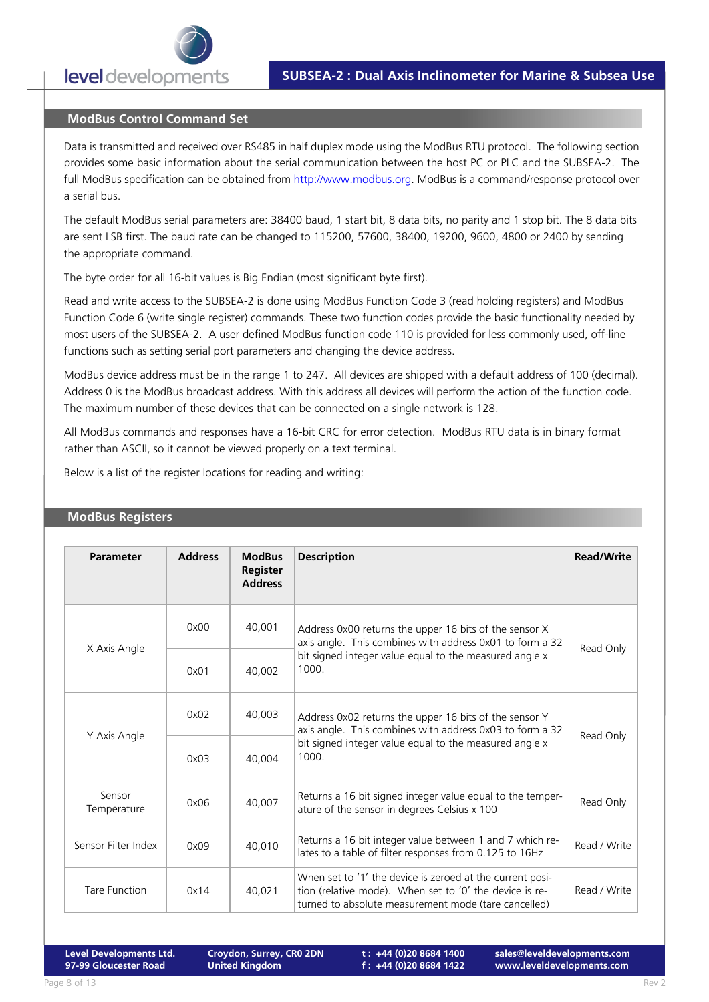

# **ModBus Control Command Set**

Data is transmitted and received over RS485 in half duplex mode using the ModBus RTU protocol. The following section provides some basic information about the serial communication between the host PC or PLC and the SUBSEA-2. The full ModBus specification can be obtained from http://www.modbus.org. ModBus is a command/response protocol over a serial bus.

The default ModBus serial parameters are: 38400 baud, 1 start bit, 8 data bits, no parity and 1 stop bit. The 8 data bits are sent LSB first. The baud rate can be changed to 115200, 57600, 38400, 19200, 9600, 4800 or 2400 by sending the appropriate command.

The byte order for all 16-bit values is Big Endian (most significant byte first).

Read and write access to the SUBSEA-2 is done using ModBus Function Code 3 (read holding registers) and ModBus Function Code 6 (write single register) commands. These two function codes provide the basic functionality needed by most users of the SUBSEA-2. A user defined ModBus function code 110 is provided for less commonly used, off-line functions such as setting serial port parameters and changing the device address.

ModBus device address must be in the range 1 to 247. All devices are shipped with a default address of 100 (decimal). Address 0 is the ModBus broadcast address. With this address all devices will perform the action of the function code. The maximum number of these devices that can be connected on a single network is 128.

All ModBus commands and responses have a 16-bit CRC for error detection. ModBus RTU data is in binary format rather than ASCII, so it cannot be viewed properly on a text terminal.

Below is a list of the register locations for reading and writing:

#### **ModBus Registers**

| <b>Parameter</b>             | <b>Address</b> | <b>ModBus</b><br><b>Register</b><br><b>Address</b> | <b>Description</b>                                                                                                                                                           | <b>Read/Write</b> |
|------------------------------|----------------|----------------------------------------------------|------------------------------------------------------------------------------------------------------------------------------------------------------------------------------|-------------------|
| X Axis Angle                 | 0x00           | 40,001                                             | Address 0x00 returns the upper 16 bits of the sensor X<br>axis angle. This combines with address 0x01 to form a 32                                                           |                   |
|                              | 0x01           | 40,002                                             | bit signed integer value equal to the measured angle x<br>1000.                                                                                                              | Read Only         |
| 0x02<br>Y Axis Angle<br>0x03 |                | 40,003                                             | Address 0x02 returns the upper 16 bits of the sensor Y<br>axis angle. This combines with address 0x03 to form a 32                                                           | Read Only         |
|                              |                | 40,004                                             | bit signed integer value equal to the measured angle x<br>1000.                                                                                                              |                   |
| Sensor<br>Temperature        | 0x06           | 40,007                                             | Returns a 16 bit signed integer value equal to the temper-<br>ature of the sensor in degrees Celsius x 100                                                                   | Read Only         |
| Sensor Filter Index          | 0x09           | 40,010                                             | Returns a 16 bit integer value between 1 and 7 which re-<br>lates to a table of filter responses from 0.125 to 16Hz                                                          | Read / Write      |
| <b>Tare Function</b>         | 0x14           | 40,021                                             | When set to '1' the device is zeroed at the current posi-<br>tion (relative mode). When set to '0' the device is re-<br>turned to absolute measurement mode (tare cancelled) | Read / Write      |

**Level Developments Ltd. 97-99 Gloucester Road**

**Croydon, Surrey, CR0 2DN United Kingdom**

**t : +44 (0)20 8684 1400 f : +44 (0)20 8684 1422**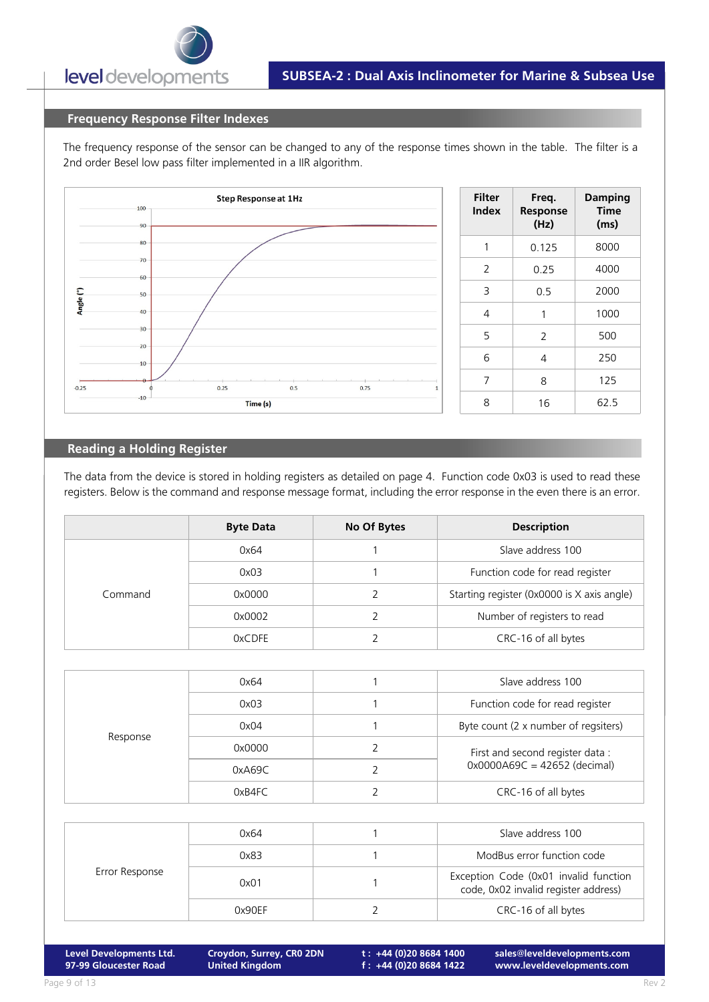

### **Frequency Response Filter Indexes**

The frequency response of the sensor can be changed to any of the response times shown in the table. The filter is a 2nd order Besel low pass filter implemented in a IIR algorithm.



| <b>Filter</b><br><b>Index</b> | Freq.<br>Response<br>(Hz) | Damping<br>Time<br>(ms) |
|-------------------------------|---------------------------|-------------------------|
| 1                             | 0.125                     | 8000                    |
| $\overline{2}$                | 0.25                      | 4000                    |
| 3                             | 0.5                       | 2000                    |
| 4                             | 1                         | 1000                    |
| 5                             | 2                         | 500                     |
| 6                             | 4                         | 250                     |
| 7                             | 8                         | 125                     |
| 8                             | 16                        | 62.5                    |

## **Reading a Holding Register**

The data from the device is stored in holding registers as detailed on page 4. Function code 0x03 is used to read these registers. Below is the command and response message format, including the error response in the even there is an error.

|         | <b>Byte Data</b> | No Of Bytes | <b>Description</b>                         |
|---------|------------------|-------------|--------------------------------------------|
|         | 0x64             |             | Slave address 100                          |
|         | 0x03             |             | Function code for read register            |
| Command | 0x0000           |             | Starting register (0x0000 is X axis angle) |
|         | 0x0002           |             | Number of registers to read                |
|         | 0xCDFE           |             | CRC-16 of all bytes                        |

|          | 0x64   | Slave address 100                    |
|----------|--------|--------------------------------------|
|          | 0x03   | Function code for read register      |
|          | 0x04   | Byte count (2 x number of regsiters) |
| Response | 0x0000 | First and second register data :     |
|          | 0xA69C | $0x0000A69C = 42652$ (decimal)       |
|          | 0xB4FC | CRC-16 of all bytes                  |
|          |        |                                      |
|          |        |                                      |

| Error Response | 0x64   | Slave address 100                                                             |
|----------------|--------|-------------------------------------------------------------------------------|
|                | 0x83   | ModBus error function code                                                    |
|                | 0x01   | Exception Code (0x01 invalid function<br>code, 0x02 invalid register address) |
|                | 0x90EF | CRC-16 of all bytes                                                           |

**Level Developments Ltd. 97-99 Gloucester Road**

**Croydon, Surrey, CR0 2DN United Kingdom**

**t : +44 (0)20 8684 1400 f : +44 (0)20 8684 1422**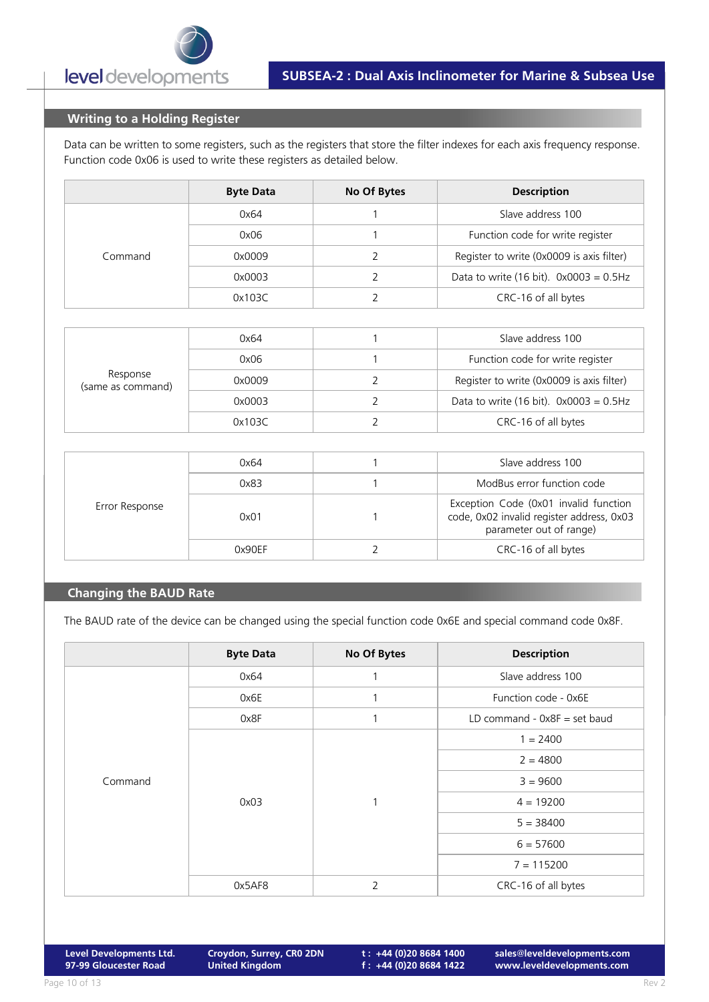

# **Writing to a Holding Register**

Data can be written to some registers, such as the registers that store the filter indexes for each axis frequency response. Function code 0x06 is used to write these registers as detailed below.

|         | <b>Byte Data</b> | No Of Bytes | <b>Description</b>                        |
|---------|------------------|-------------|-------------------------------------------|
|         | 0x64             |             | Slave address 100                         |
|         | 0x06             |             | Function code for write register          |
| Command | 0x0009           |             | Register to write (0x0009 is axis filter) |
|         | 0x0003           |             | Data to write (16 bit). $0x0003 = 0.5$ Hz |
|         | 0x103C           |             | CRC-16 of all bytes                       |

| Response<br>(same as command) | 0x64   | Slave address 100                                 |
|-------------------------------|--------|---------------------------------------------------|
|                               | 0x06   | Function code for write register                  |
|                               | 0x0009 | Register to write (0x0009 is axis filter)         |
|                               | 0x0003 | Data to write $(16 \text{ bit})$ . 0x0003 = 0.5Hz |
|                               | 0x103C | CRC-16 of all bytes                               |

| Error Response | 0x64   | Slave address 100                                                                                             |
|----------------|--------|---------------------------------------------------------------------------------------------------------------|
|                | 0x83   | ModBus error function code                                                                                    |
|                | 0x01   | Exception Code (0x01 invalid function<br>code, 0x02 invalid register address, 0x03<br>parameter out of range) |
|                | 0x90FF | CRC-16 of all bytes                                                                                           |

# **Changing the BAUD Rate**

The BAUD rate of the device can be changed using the special function code 0x6E and special command code 0x8F.

|         | <b>Byte Data</b> | No Of Bytes    | <b>Description</b>             |
|---------|------------------|----------------|--------------------------------|
| Command | 0x64             | 1              | Slave address 100              |
|         | 0x6E             | 1              | Function code - 0x6E           |
|         | 0x8F             | 1              | LD command - $0x8F = set$ baud |
|         | 0x03             |                | $1 = 2400$                     |
|         |                  |                | $2 = 4800$                     |
|         |                  |                | $3 = 9600$                     |
|         |                  |                | $4 = 19200$                    |
|         |                  |                | $5 = 38400$                    |
|         |                  |                | $6 = 57600$                    |
|         |                  |                | $7 = 115200$                   |
|         | 0x5AF8           | $\overline{2}$ | CRC-16 of all bytes            |

**t : +44 (0)20 8684 1400 f : +44 (0)20 8684 1422**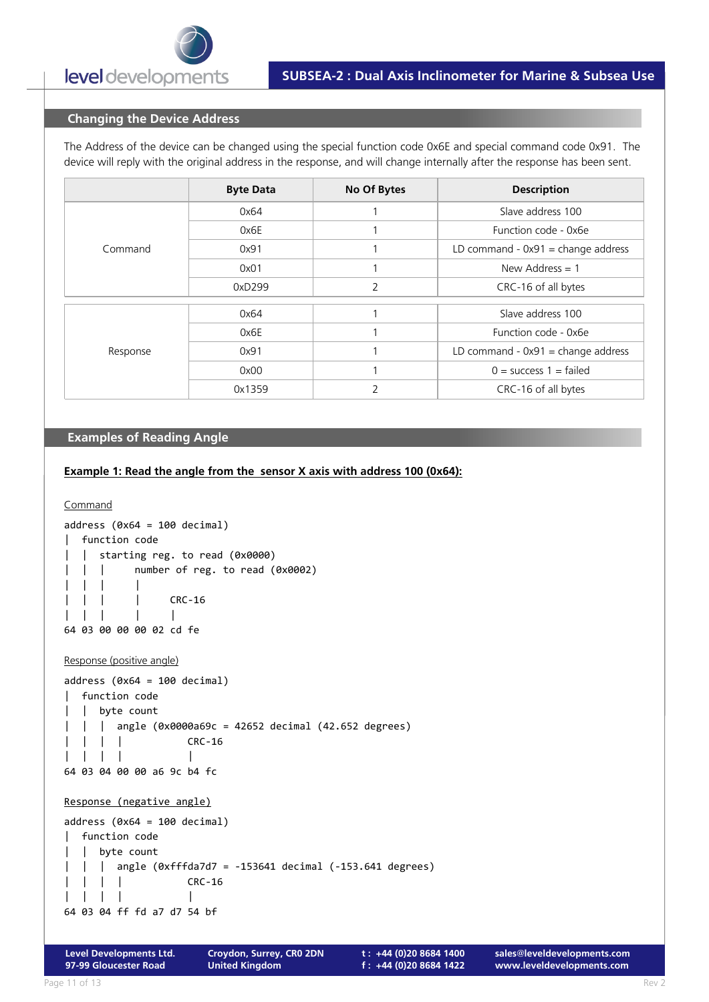

# **Changing the Device Address**

The Address of the device can be changed using the special function code 0x6E and special command code 0x91. The device will reply with the original address in the response, and will change internally after the response has been sent.

|          | <b>Byte Data</b> | No Of Bytes | <b>Description</b>                   |
|----------|------------------|-------------|--------------------------------------|
| Command  | 0x64             |             | Slave address 100                    |
|          | 0x6E             |             | Function code - 0x6e                 |
|          | 0x91             |             | LD command - $0x91$ = change address |
|          | 0x01             |             | New Address $= 1$                    |
|          | 0xD299           | 2           | CRC-16 of all bytes                  |
|          |                  |             |                                      |
| Response | 0x64             |             | Slave address 100                    |
|          | 0x6E             |             | Function code - 0x6e                 |
|          | 0x91             |             | LD command - $0x91$ = change address |
|          | 0x00             |             | $0 =$ success $1 =$ failed           |
|          | 0x1359           | 2           | CRC-16 of all bytes                  |

### **Examples of Reading Angle**

```
Example 1: Read the angle from the sensor X axis with address 100 (0x64):
```

```
Command
```

```
Level Developments Ltd.
                      Croydon, Surrey, CR0 2DN
                                              t : +44 (0)20 8684 1400
address (0x64 = 100 decimal)| function code
| | starting reg. to read (0x0000)
  | | number of reg. to read (0x0002)
| | | |
| | | | CRC-16
| | | | |
64 03 00 00 00 02 cd fe
Response (positive angle)
address (0x64 = 100 decimal)| function code
| | byte count
| | | angle (0x0000a69c = 42652 decimal (42.652 degrees)
| | | | CRC-16
| | | | |
64 03 04 00 00 a6 9c b4 fc
Response (negative angle)
address (0x64 = 100 decimal)
  function code
| | byte count
| | | angle (0xfffda7d7 = -153641 decimal (-153.641 degrees)
| | | | CRC-16
| | | | |
64 03 04 ff fd a7 d7 54 bf
```
**United Kingdom**

**f : +44 (0)20 8684 1422**

**97-99 Gloucester Road**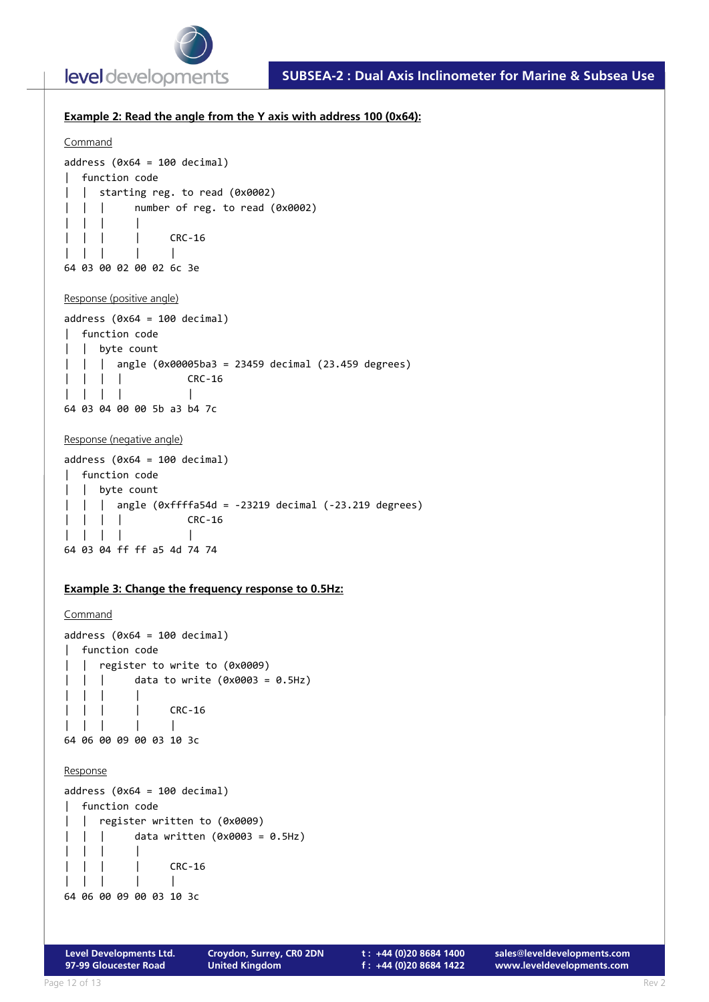

### **Example 2: Read the angle from the Y axis with address 100 (0x64):**

#### **Command**

```
address (0x64 = 100 decimal)| function code
| | starting reg. to read (0x0002)
| | | number of reg. to read (0x0002)
| | | |
| | | | CRC-16
| | | | |
64 03 00 02 00 02 6c 3e
Response (positive angle)
address (0x64 = 100 decimal)| function code
| | byte count
| | | angle (0x00005ba3 = 23459 decimal (23.459 degrees)
| | | | CRC-16
| | | | |
64 03 04 00 00 5b a3 b4 7c
Response (negative angle)
address (0x64 = 100 decimal)| function code
| | byte count
| | | angle (0xffffa54d = -23219 decimal (-23.219 degrees)
| | | | CRC-16
| | | | |
64 03 04 ff ff a5 4d 74 74
```
#### **Example 3: Change the frequency response to 0.5Hz:**

```
Command
address (0x64 = 100 decimal)| function code
| | register to write to (0x0009)
| | | data to write (0x0003 = 0.5Hz)
| | | |
  | | | | CRC-16
| | | | |
64 06 00 09 00 03 10 3c
Response
address (0x64 = 100 decimal)function code
| | register written to (0x0009)
  | | | data written (0x0003 = 0.5Hz)
| | | |
| | | | CRC-16
| | | | |
64 06 00 09 00 03 10 3c
```
**t : +44 (0)20 8684 1400 f : +44 (0)20 8684 1422**